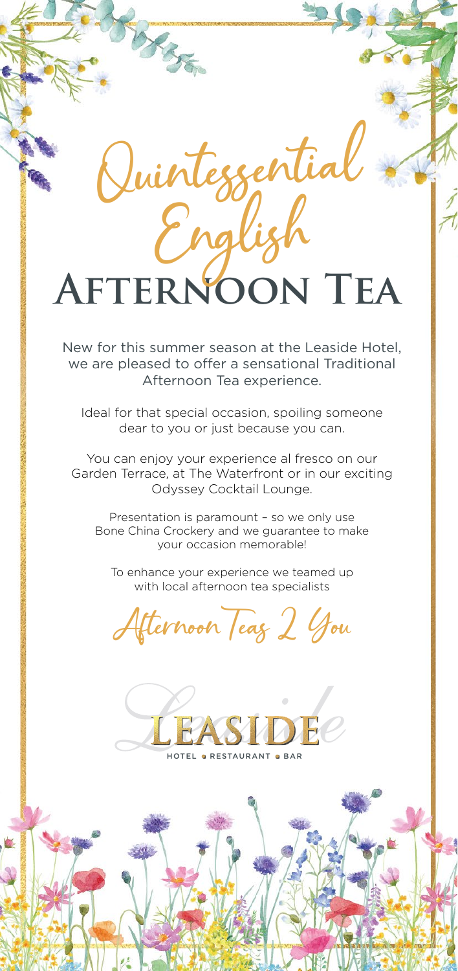## **Afternoon Tea**

Quintessential

BRASE

English

New for this summer season at the Leaside Hotel, we are pleased to offer a sensational Traditional Afternoon Tea experience.

Ideal for that special occasion, spoiling someone dear to you or just because you can.

You can enjoy your experience al fresco on our Garden Terrace, at The Waterfront or in our exciting Odyssey Cocktail Lounge.

Presentation is paramount – so we only use Bone China Crockery and we guarantee to make your occasion memorable!

To enhance your experience we teamed up with local afternoon tea specialists

Afternoon Teag 2 You